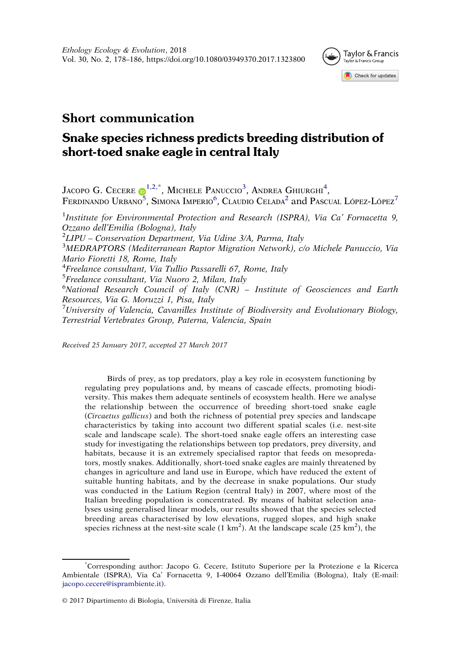

# Short communication

# Snake species richness predicts breeding distribution of short-toed snake eagle in central Italy

<span id="page-0-4"></span><span id="page-0-3"></span><span id="page-0-1"></span><span id="page-0-0"></span>JACOPO G. CECERE  $\bigcirc^{1,2,*}$  $\bigcirc^{1,2,*}$  $\bigcirc^{1,2,*}$  $\bigcirc^{1,2,*}$ , Michele Panuccio<sup>3</sup>, Andrea Ghiurghi<sup>4</sup>, FERDINANDO URBANO<sup>5</sup>, SIMONA IMPERIO<sup>6</sup>, CLAUDIO CELADA<sup>2</sup> and Pascual López-López<sup>7</sup> <sup>1</sup>Institute for Environmental Protection and Research (ISPRA), Via Ca' Fornacetta 9, Ozzano dell'Emilia (Bologna), Italy <sup>2</sup>  $2$ LIPU – Conservation Department, Via Udine 3/A, Parma, Italy <sup>3</sup>MEDRAPTORS (Mediterranean Raptor Migration Network), c/o Michele Panuccio, Via Mario Fioretti 18, Rome, Italy <sup>4</sup>Freelance consultant, Via Tullio Passarelli 67, Rome, Italy <sup>5</sup>Freelance consultant, Via Nuoro 2, Milan, Italy 6 National Research Council of Italy (CNR) – Institute of Geosciences and Earth Resources, Via G. Moruzzi 1, Pisa, Italy <sup>7</sup>University of Valencia, Cavanilles Institute of Biodiversity and Evolutionary Biology, Terrestrial Vertebrates Group, Paterna, Valencia, Spain

<span id="page-0-7"></span><span id="page-0-6"></span><span id="page-0-5"></span>Received 25 January 2017, accepted 27 March 2017

Birds of prey, as top predators, play a key role in ecosystem functioning by regulating prey populations and, by means of cascade effects, promoting biodiversity. This makes them adequate sentinels of ecosystem health. Here we analyse the relationship between the occurrence of breeding short-toed snake eagle (Circaetus gallicus) and both the richness of potential prey species and landscape characteristics by taking into account two different spatial scales (i.e. nest-site scale and landscape scale). The short-toed snake eagle offers an interesting case study for investigating the relationships between top predators, prey diversity, and habitats, because it is an extremely specialised raptor that feeds on mesopredators, mostly snakes. Additionally, short-toed snake eagles are mainly threatened by changes in agriculture and land use in Europe, which have reduced the extent of suitable hunting habitats, and by the decrease in snake populations. Our study was conducted in the Latium Region (central Italy) in 2007, where most of the Italian breeding population is concentrated. By means of habitat selection analyses using generalised linear models, our results showed that the species selected breeding areas characterised by low elevations, rugged slopes, and high snake species richness at the nest-site scale  $(1 \text{ km}^2)$ . At the landscape scale  $(25 \text{ km}^2)$ , the

<span id="page-0-2"></span><sup>\*</sup> Corresponding author: Jacopo G. Cecere, Istituto Superiore per la Protezione e la Ricerca Ambientale (ISPRA), Via Ca' Fornacetta 9, I-40064 Ozzano dell'Emilia (Bologna), Italy (E-mail: jacopo.cecere@isprambiente.it).

<sup>© 2017</sup> Dipartimento di Biologia, Università di Firenze, Italia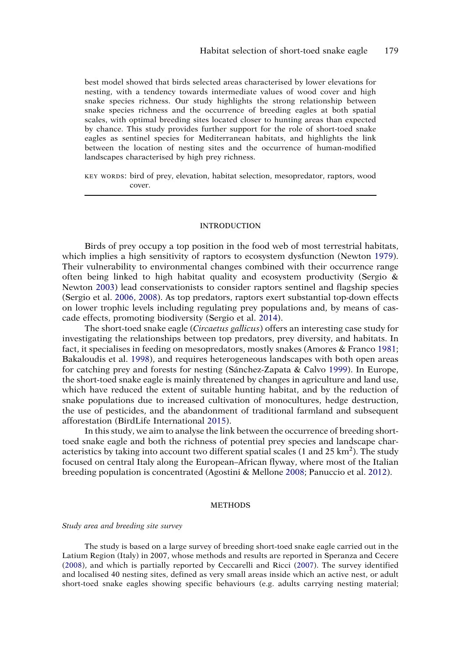best model showed that birds selected areas characterised by lower elevations for nesting, with a tendency towards intermediate values of wood cover and high snake species richness. Our study highlights the strong relationship between snake species richness and the occurrence of breeding eagles at both spatial scales, with optimal breeding sites located closer to hunting areas than expected by chance. This study provides further support for the role of short-toed snake eagles as sentinel species for Mediterranean habitats, and highlights the link between the location of nesting sites and the occurrence of human-modified landscapes characterised by high prey richness.

KEY WORDS: bird of prey, elevation, habitat selection, mesopredator, raptors, wood cover.

#### INTRODUCTION

<span id="page-1-8"></span><span id="page-1-5"></span>Birds of prey occupy a top position in the food web of most terrestrial habitats, which implies a high sensitivity of raptors to ecosystem dysfunction (Newton [1979\)](#page-7-0). Their vulnerability to environmental changes combined with their occurrence range often being linked to high habitat quality and ecosystem productivity (Sergio & Newton [2003\)](#page-7-1) lead conservationists to consider raptors sentinel and flagship species (Sergio et al. [2006,](#page-7-2) [2008](#page-7-3)). As top predators, raptors exert substantial top-down effects on lower trophic levels including regulating prey populations and, by means of cascade effects, promoting biodiversity (Sergio et al. [2014](#page-8-0)).

<span id="page-1-9"></span><span id="page-1-7"></span><span id="page-1-6"></span><span id="page-1-2"></span><span id="page-1-1"></span>The short-toed snake eagle (*Circaetus gallicus*) offers an interesting case study for investigating the relationships between top predators, prey diversity, and habitats. In fact, it specialises in feeding on mesopredators, mostly snakes (Amores & Franco [1981](#page-6-0); Bakaloudis et al. [1998](#page-6-1)), and requires heterogeneous landscapes with both open areas for catching prey and forests for nesting (Sánchez-Zapata & Calvo [1999\)](#page-7-4). In Europe, the short-toed snake eagle is mainly threatened by changes in agriculture and land use, which have reduced the extent of suitable hunting habitat, and by the reduction of snake populations due to increased cultivation of monocultures, hedge destruction, the use of pesticides, and the abandonment of traditional farmland and subsequent afforestation (BirdLife International [2015](#page-6-2)).

<span id="page-1-3"></span><span id="page-1-0"></span>In this study, we aim to analyse the link between the occurrence of breeding shorttoed snake eagle and both the richness of potential prey species and landscape characteristics by taking into account two different spatial scales (1 and 25 km<sup>2</sup>). The study focused on central Italy along the European–African flyway, where most of the Italian breeding population is concentrated (Agostini & Mellone [2008;](#page-6-3) Panuccio et al. [2012](#page-7-5)).

#### **METHODS**

#### Study area and breeding site survey

<span id="page-1-4"></span>The study is based on a large survey of breeding short-toed snake eagle carried out in the Latium Region (Italy) in 2007, whose methods and results are reported in Speranza and Cecere ([2008\)](#page-8-1), and which is partially reported by Ceccarelli and Ricci ([2007\)](#page-6-4). The survey identified and localised 40 nesting sites, defined as very small areas inside which an active nest, or adult short-toed snake eagles showing specific behaviours (e.g. adults carrying nesting material;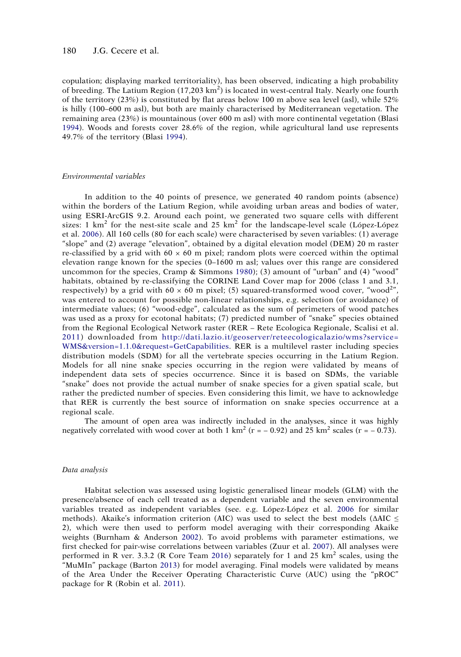copulation; displaying marked territoriality), has been observed, indicating a high probability of breeding. The Latium Region (17,203 km<sup>2</sup>) is located in west-central Italy. Nearly one fourth of the territory (23%) is constituted by flat areas below 100 m above sea level (asl), while 52% is hilly (100–600 m asl), but both are mainly characterised by Mediterranean vegetation. The remaining area (23%) is mountainous (over 600 m asl) with more continental vegetation (Blasi [1994\)](#page-6-5). Woods and forests cover 28.6% of the region, while agricultural land use represents 49.7% of the territory (Blasi [1994](#page-6-5)).

## <span id="page-2-1"></span>Environmental variables

<span id="page-2-3"></span>In addition to the 40 points of presence, we generated 40 random points (absence) within the borders of the Latium Region, while avoiding urban areas and bodies of water, using ESRI-ArcGIS 9.2. Around each point, we generated two square cells with different sizes: 1  $km^2$  for the nest-site scale and 25  $km^2$  for the landscape-level scale (López-López et al. [2006](#page-7-6)). All 160 cells (80 for each scale) were characterised by seven variables: (1) average "slope" and (2) average "elevation", obtained by a digital elevation model (DEM) 20 m raster re-classified by a grid with  $60 \times 60$  m pixel; random plots were coerced within the optimal elevation range known for the species (0–1600 m asl; values over this range are considered uncommon for the species, Cramp & Simmons [1980](#page-7-7)); (3) amount of "urban" and (4) "wood" habitats, obtained by re-classifying the CORINE Land Cover map for 2006 (class 1 and 3.1, respectively) by a grid with  $60 \times 60$  m pixel; (5) squared-transformed wood cover, "wood<sup>2</sup>", was entered to account for possible non-linear relationships, e.g. selection (or avoidance) of intermediate values; (6) "wood-edge", calculated as the sum of perimeters of wood patches was used as a proxy for ecotonal habitats; (7) predicted number of "snake" species obtained from the Regional Ecological Network raster (RER – Rete Ecologica Regionale, Scalisi et al. [2011](#page-7-8)) downloaded from [http://dati.lazio.it/geoserver/reteecologicalazio/wms?service=](http://dati.lazio.it/geoserver/reteecologicalazio/wms?service=WMS%26version=1.1.0%26request=GetCapabilities) [WMS&version=1.1.0&request=GetCapabilities](http://dati.lazio.it/geoserver/reteecologicalazio/wms?service=WMS%26version=1.1.0%26request=GetCapabilities). RER is a multilevel raster including species distribution models (SDM) for all the vertebrate species occurring in the Latium Region. Models for all nine snake species occurring in the region were validated by means of independent data sets of species occurrence. Since it is based on SDMs, the variable "snake" does not provide the actual number of snake species for a given spatial scale, but rather the predicted number of species. Even considering this limit, we have to acknowledge that RER is currently the best source of information on snake species occurrence at a regional scale.

<span id="page-2-7"></span>The amount of open area was indirectly included in the analyses, since it was highly negatively correlated with wood cover at both 1 km<sup>2</sup> (r = – 0.92) and 25 km<sup>2</sup> scales (r = – 0.73).

#### Data analysis

<span id="page-2-8"></span><span id="page-2-6"></span><span id="page-2-5"></span><span id="page-2-4"></span><span id="page-2-2"></span><span id="page-2-0"></span>Habitat selection was assessed using logistic generalised linear models (GLM) with the presence/absence of each cell treated as a dependent variable and the seven environmental variables treated as independent variables (see. e.g. López-López et al. [2006](#page-7-6) for similar methods). Akaike's information criterion (AIC) was used to select the best models ( $\triangle AIC \leq$ 2), which were then used to perform model averaging with their corresponding Akaike weights (Burnham & Anderson [2002\)](#page-6-6). To avoid problems with parameter estimations, we first checked for pair-wise correlations between variables (Zuur et al. [2007\)](#page-8-2). All analyses were performed in R ver. 3.3.2 (R Core Team [2016\)](#page-7-9) separately for 1 and 25  $km^2$  scales, using the "MuMIn" package (Barton [2013\)](#page-6-7) for model averaging. Final models were validated by means of the Area Under the Receiver Operating Characteristic Curve (AUC) using the "pROC" package for R (Robin et al. [2011](#page-7-10)).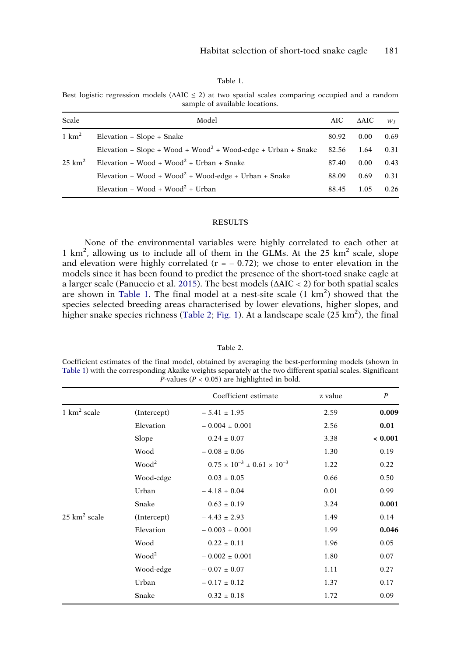Table 1.

<span id="page-3-0"></span>Best logistic regression models ( $\Delta AIC \leq 2$ ) at two spatial scales comparing occupied and a random sample of available locations.

| Scale             | Model                                                                    | AIC   | ΔAIC | $W_I$ |
|-------------------|--------------------------------------------------------------------------|-------|------|-------|
| $1 \text{ km}^2$  | Elevation + Slope + Snake                                                | 80.92 | 0.00 | 0.69  |
|                   | Elevation + Slope + Wood + Wood <sup>2</sup> + Wood-edge + Urban + Snake | 82.56 | 1.64 | 0.31  |
| $25 \text{ km}^2$ | Elevation + Wood + Wood <sup>2</sup> + Urban + Snake                     | 87.40 | 0.00 | 0.43  |
|                   | Elevation + Wood + Wood <sup>2</sup> + Wood-edge + Urban + Snake         | 88.09 | 0.69 | 0.31  |
|                   | Elevation + Wood + Wood <sup>2</sup> + Urban                             | 88.45 | 1.05 | 0.26  |

## **RESULTS**

<span id="page-3-2"></span>None of the environmental variables were highly correlated to each other at 1 km<sup>2</sup>, allowing us to include all of them in the GLMs. At the 25 km<sup>2</sup> scale, slope and elevation were highly correlated ( $r = -0.72$ ); we chose to enter elevation in the models since it has been found to predict the presence of the short-toed snake eagle at a larger scale (Panuccio et al. [2015\)](#page-7-11). The best models (ΔAIC < 2) for both spatial scales are shown in [Table 1.](#page-3-0) The final model at a nest-site scale  $(1 \text{ km}^2)$  showed that the species selected breeding areas characterised by lower elevations, higher slopes, and higher snake species richness ([Table 2;](#page-3-1) [Fig. 1](#page-4-0)). At a landscape scale (25 km<sup>2</sup>), the final

#### Table 2.

<span id="page-3-1"></span>Coefficient estimates of the final model, obtained by averaging the best-performing models (shown in [Table 1](#page-3-0)) with the corresponding Akaike weights separately at the two different spatial scales. Significant *P*-values ( $P < 0.05$ ) are highlighted in bold.

|                         |                   | Coefficient estimate                          | z value | $\boldsymbol{P}$ |
|-------------------------|-------------------|-----------------------------------------------|---------|------------------|
| 1 $km^2$ scale          | (Intercept)       | $-5.41 \pm 1.95$                              | 2.59    | 0.009            |
|                         | Elevation         | $-0.004 \pm 0.001$                            | 2.56    | 0.01             |
|                         | Slope             | $0.24 \pm 0.07$                               | 3.38    | ${}< 0.001$      |
|                         | Wood              | $-0.08 \pm 0.06$                              | 1.30    | 0.19             |
|                         | Wood <sup>2</sup> | $0.75 \times 10^{-3} \pm 0.61 \times 10^{-3}$ | 1.22    | 0.22             |
|                         | Wood-edge         | $0.03 \pm 0.05$                               | 0.66    | 0.50             |
|                         | Urban             | $-4.18 \pm 0.04$                              | 0.01    | 0.99             |
|                         | Snake             | $0.63 \pm 0.19$                               | 3.24    | 0.001            |
| $25 \text{ km}^2$ scale | (Intercept)       | $-4.43 \pm 2.93$                              | 1.49    | 0.14             |
|                         | Elevation         | $-0.003 \pm 0.001$                            | 1.99    | 0.046            |
|                         | Wood              | $0.22 \pm 0.11$                               | 1.96    | 0.05             |
|                         | Wood <sup>2</sup> | $-0.002 \pm 0.001$                            | 1.80    | 0.07             |
|                         | Wood-edge         | $-0.07 \pm 0.07$                              | 1.11    | 0.27             |
|                         | Urban             | $-0.17 \pm 0.12$                              | 1.37    | 0.17             |
|                         | Snake             | $0.32 \pm 0.18$                               | 1.72    | 0.09             |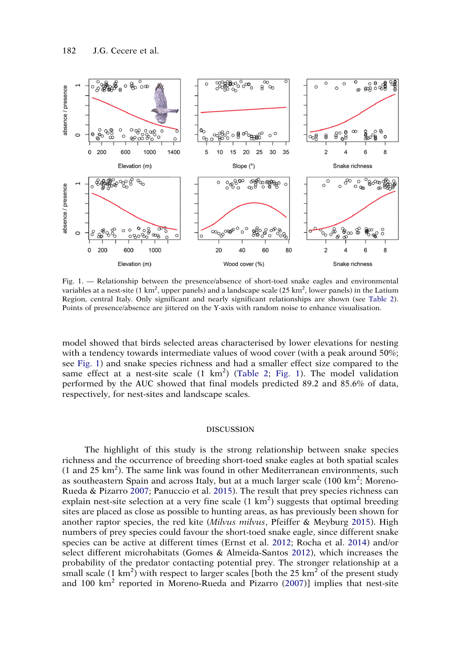

<span id="page-4-0"></span>Fig. 1. — Relationship between the presence/absence of short-toed snake eagles and environmental variables at a nest-site (1 km<sup>2</sup>, upper panels) and a landscape scale (25 km<sup>2</sup>, lower panels) in the Latium Region, central Italy. Only significant and nearly significant relationships are shown (see [Table 2\)](#page-3-1). Points of presence/absence are jittered on the Y-axis with random noise to enhance visualisation.

model showed that birds selected areas characterised by lower elevations for nesting with a tendency towards intermediate values of wood cover (with a peak around 50%; see [Fig. 1](#page-4-0)) and snake species richness and had a smaller effect size compared to the same effect at a nest-site scale (1 km<sup>2</sup>) ([Table 2](#page-3-1); [Fig. 1](#page-4-0)). The model validation performed by the AUC showed that final models predicted 89.2 and 85.6% of data, respectively, for nest-sites and landscape scales.

### **DISCUSSION**

<span id="page-4-4"></span><span id="page-4-3"></span><span id="page-4-2"></span><span id="page-4-1"></span>The highlight of this study is the strong relationship between snake species richness and the occurrence of breeding short-toed snake eagles at both spatial scales  $(1$  and  $25 \text{ km}^2)$ . The same link was found in other Mediterranean environments, such as southeastern Spain and across Italy, but at a much larger scale (100 km<sup>2</sup>; Moreno-Rueda & Pizarro [2007](#page-7-12); Panuccio et al. [2015\)](#page-7-11). The result that prey species richness can explain nest-site selection at a very fine scale  $(1 \text{ km}^2)$  suggests that optimal breeding sites are placed as close as possible to hunting areas, as has previously been shown for another raptor species, the red kite (Milvus milvus, Pfeiffer & Meyburg [2015\)](#page-7-13). High numbers of prey species could favour the short-toed snake eagle, since different snake species can be active at different times (Ernst et al. [2012;](#page-7-14) Rocha et al. [2014\)](#page-7-15) and/or select different microhabitats (Gomes & Almeida-Santos [2012](#page-7-16)), which increases the probability of the predator contacting potential prey. The stronger relationship at a small scale  $(1 \text{ km}^2)$  with respect to larger scales [both the 25 km<sup>2</sup> of the present study and  $100 \text{ km}^2$  reported in Moreno-Rueda and Pizarro [\(2007](#page-7-12))] implies that nest-site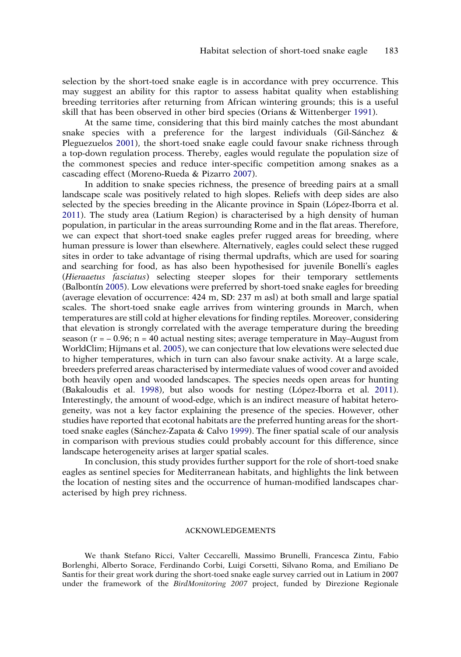selection by the short-toed snake eagle is in accordance with prey occurrence. This may suggest an ability for this raptor to assess habitat quality when establishing breeding territories after returning from African wintering grounds; this is a useful skill that has been observed in other bird species (Orians & Wittenberger [1991\)](#page-7-17).

<span id="page-5-4"></span><span id="page-5-1"></span>At the same time, considering that this bird mainly catches the most abundant snake species with a preference for the largest individuals (Gil-Sánchez  $\&$ Pleguezuelos [2001](#page-7-18)), the short-toed snake eagle could favour snake richness through a top-down regulation process. Thereby, eagles would regulate the population size of the commonest species and reduce inter-specific competition among snakes as a cascading effect (Moreno-Rueda & Pizarro [2007\)](#page-7-12).

<span id="page-5-0"></span>In addition to snake species richness, the presence of breeding pairs at a small landscape scale was positively related to high slopes. Reliefs with deep sides are also selected by the species breeding in the Alicante province in Spain (López-Iborra et al. [2011](#page-7-19)). The study area (Latium Region) is characterised by a high density of human population, in particular in the areas surrounding Rome and in the flat areas. Therefore, we can expect that short-toed snake eagles prefer rugged areas for breeding, where human pressure is lower than elsewhere. Alternatively, eagles could select these rugged sites in order to take advantage of rising thermal updrafts, which are used for soaring and searching for food, as has also been hypothesised for juvenile Bonelli's eagles (Hieraaetus fasciatus) selecting steeper slopes for their temporary settlements (Balbontín [2005\)](#page-6-8). Low elevations were preferred by short-toed snake eagles for breeding (average elevation of occurrence: 424 m, SD: 237 m asl) at both small and large spatial scales. The short-toed snake eagle arrives from wintering grounds in March, when temperatures are still cold at higher elevations for finding reptiles. Moreover, considering that elevation is strongly correlated with the average temperature during the breeding season ( $r = -0.96$ ; n = 40 actual nesting sites; average temperature in May–August from WorldClim; Hijmans et al. [2005](#page-7-20)), we can conjecture that low elevations were selected due to higher temperatures, which in turn can also favour snake activity. At a large scale, breeders preferred areas characterised by intermediate values of wood cover and avoided both heavily open and wooded landscapes. The species needs open areas for hunting (Bakaloudis et al. [1998](#page-6-1)), but also woods for nesting (López-Iborra et al. [2011\)](#page-7-19). Interestingly, the amount of wood-edge, which is an indirect measure of habitat heterogeneity, was not a key factor explaining the presence of the species. However, other studies have reported that ecotonal habitats are the preferred hunting areas for the shorttoed snake eagles (Sánchez-Zapata & Calvo [1999](#page-7-4)). The finer spatial scale of our analysis in comparison with previous studies could probably account for this difference, since landscape heterogeneity arises at larger spatial scales.

<span id="page-5-3"></span><span id="page-5-2"></span>In conclusion, this study provides further support for the role of short-toed snake eagles as sentinel species for Mediterranean habitats, and highlights the link between the location of nesting sites and the occurrence of human-modified landscapes characterised by high prey richness.

## ACKNOWLEDGEMENTS

We thank Stefano Ricci, Valter Ceccarelli, Massimo Brunelli, Francesca Zintu, Fabio Borlenghi, Alberto Sorace, Ferdinando Corbi, Luigi Corsetti, Silvano Roma, and Emiliano De Santis for their great work during the short-toed snake eagle survey carried out in Latium in 2007 under the framework of the BirdMonitoring 2007 project, funded by Direzione Regionale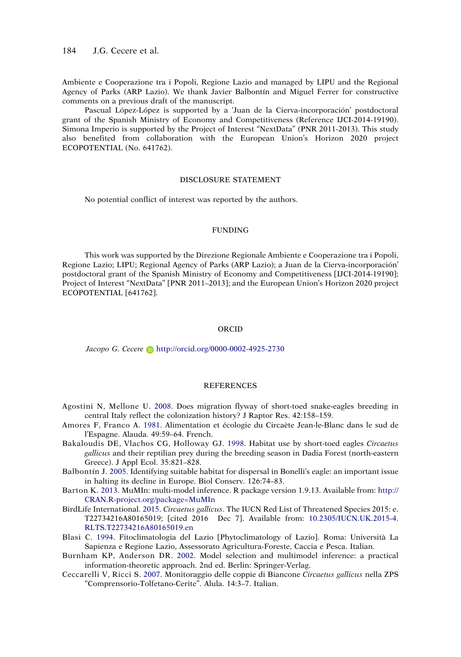Ambiente e Cooperazione tra i Popoli, Regione Lazio and managed by LIPU and the Regional Agency of Parks (ARP Lazio). We thank Javier Balbontín and Miguel Ferrer for constructive comments on a previous draft of the manuscript.

Pascual López-López is supported by a 'Juan de la Cierva-incorporación' postdoctoral grant of the Spanish Ministry of Economy and Competitiveness (Reference IJCI-2014-19190). Simona Imperio is supported by the Project of Interest "NextData" (PNR 2011-2013). This study also benefited from collaboration with the European Union's Horizon 2020 project ECOPOTENTIAL (No. 641762).

#### DISCLOSURE STATEMENT

No potential conflict of interest was reported by the authors.

#### FUNDING

This work was supported by the Direzione Regionale Ambiente e Cooperazione tra i Popoli, Regione Lazio; LIPU; Regional Agency of Parks (ARP Lazio); a Juan de la Cierva-incorporación' postdoctoral grant of the Spanish Ministry of Economy and Competitiveness [IJCI-2014-19190]; Project of Interest "NextData" [PNR 2011–2013]; and the European Union's Horizon 2020 project ECOPOTENTIAL [641762].

#### ORCID

Jacopo G. Cecere D http://orcid.org/0000-0002-4925-2730

### **REFERENCES**

- <span id="page-6-3"></span>Agostini N, Mellone U. [2008](#page-1-0). Does migration flyway of short-toed snake-eagles breeding in central Italy reflect the colonization history? J Raptor Res. 42:158–159.
- <span id="page-6-0"></span>Amores F, Franco A. [1981](#page-1-1). Alimentation et écologie du Circaète Jean-le-Blanc dans le sud de l'Espagne. Alauda. 49:59–64. French.
- <span id="page-6-1"></span>Bakaloudis DE, Vlachos CG, Holloway GJ. [1998](#page-1-2). Habitat use by short-toed eagles Circaetus gallicus and their reptilian prey during the breeding season in Dadia Forest (north-eastern Greece). J Appl Ecol. 35:821–828.
- <span id="page-6-8"></span>Balbontín J. [2005](#page-5-0). Identifying suitable habitat for dispersal in Bonelli's eagle: an important issue in halting its decline in Europe. Biol Conserv. 126:74–83.
- <span id="page-6-7"></span>Barton K. [2013.](#page-2-0) MuMIn: multi-model inference. R package version 1.9.13. Available from: [http://](http://CRAN.R-project.org/package=MuMIn) [CRAN.R-project.org/package=MuMIn](http://CRAN.R-project.org/package=MuMIn)
- <span id="page-6-2"></span>BirdLife International. [2015.](#page-1-3) Circaetus gallicus. The IUCN Red List of Threatened Species 2015: e. T22734216A80165019; [cited 2016 Dec 7]. Available from: [10.2305/IUCN.UK.2015-4.](https://doi.org/10.2305/IUCN.UK.2015-4.RLTS.T22734216A80165019.en) [RLTS.T22734216A80165019.en](https://doi.org/10.2305/IUCN.UK.2015-4.RLTS.T22734216A80165019.en)
- <span id="page-6-5"></span>Blasi C. [1994](#page-2-1). Fitoclimatologia del Lazio [Phytoclimatology of Lazio]. Roma: Università La Sapienza e Regione Lazio, Assessorato Agricultura-Foreste, Caccia e Pesca. Italian.
- <span id="page-6-6"></span>Burnham KP, Anderson DR. [2002](#page-2-2). Model selection and multimodel inference: a practical information-theoretic approach. 2nd ed. Berlin: Springer-Verlag.
- <span id="page-6-4"></span>Ceccarelli V, Ricci S. [2007](#page-1-4). Monitoraggio delle coppie di Biancone Circaetus gallicus nella ZPS "Comprensorio-Tolfetano-Cerite". Alula. 14:3–7. Italian.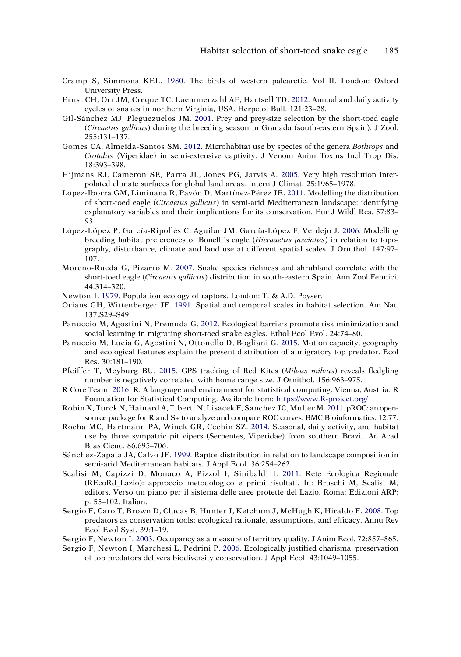- <span id="page-7-7"></span>Cramp S, Simmons KEL. [1980](#page-2-3). The birds of western palearctic. Vol II. London: Oxford University Press.
- <span id="page-7-14"></span>Ernst CH, Orr JM, Creque TC, Laemmerzahl AF, Hartsell TD. [2012.](#page-4-1) Annual and daily activity cycles of snakes in northern Virginia, USA. Herpetol Bull. 121:23–28.
- <span id="page-7-18"></span>Gil-Sánchez MJ, Pleguezuelos JM. [2001](#page-5-1). Prey and prey-size selection by the short-toed eagle (Circaetus gallicus) during the breeding season in Granada (south-eastern Spain). J Zool. 255:131–137.
- <span id="page-7-16"></span>Gomes CA, Almeida-Santos SM. [2012.](#page-4-2) Microhabitat use by species of the genera Bothrops and Crotalus (Viperidae) in semi-extensive captivity. J Venom Anim Toxins Incl Trop Dis. 18:393–398.
- <span id="page-7-20"></span>Hijmans RJ, Cameron SE, Parra JL, Jones PG, Jarvis A. [2005.](#page-5-2) Very high resolution interpolated climate surfaces for global land areas. Intern J Climat. 25:1965–1978.
- <span id="page-7-19"></span>López-Iborra GM, Limiñana R, Pavón D, Martínez-Pérez JE. [2011](#page-5-3). Modelling the distribution of short-toed eagle (Circaetus gallicus) in semi-arid Mediterranean landscape: identifying explanatory variables and their implications for its conservation. Eur J Wildl Res. 57:83– 93.
- <span id="page-7-6"></span>López-López P, García-Ripollés C, Aguilar JM, García-López F, Verdejo J. [2006](#page-2-4). Modelling breeding habitat preferences of Bonelli's eagle (*Hieraaetus fasciatus*) in relation to topography, disturbance, climate and land use at different spatial scales. J Ornithol. 147:97– 107.
- <span id="page-7-12"></span>Moreno-Rueda G, Pizarro M. [2007](#page-4-3). Snake species richness and shrubland correlate with the short-toed eagle (Circaetus gallicus) distribution in south-eastern Spain. Ann Zool Fennici. 44:314–320.
- <span id="page-7-0"></span>Newton I. [1979.](#page-1-5) Population ecology of raptors. London: T. & A.D. Poyser.
- <span id="page-7-17"></span>Orians GH, Wittenberger JF. [1991](#page-5-4). Spatial and temporal scales in habitat selection. Am Nat. 137:S29–S49.
- <span id="page-7-5"></span>Panuccio M, Agostini N, Premuda G. [2012.](#page-1-0) Ecological barriers promote risk minimization and social learning in migrating short-toed snake eagles. Ethol Ecol Evol. 24:74–80.
- <span id="page-7-11"></span>Panuccio M, Lucia G, Agostini N, Ottonello D, Bogliani G. [2015.](#page-3-2) Motion capacity, geography and ecological features explain the present distribution of a migratory top predator. Ecol Res. 30:181–190.
- <span id="page-7-13"></span>Pfeiffer T, Meyburg BU. [2015](#page-4-4). GPS tracking of Red Kites (Milvus milvus) reveals fledgling number is negatively correlated with home range size. J Ornithol. 156:963–975.
- <span id="page-7-9"></span>R Core Team. [2016](#page-2-5). R: A language and environment for statistical computing. Vienna, Austria: R Foundation for Statistical Computing. Available from: <https://www.R-project.org/>
- <span id="page-7-10"></span>Robin X,Turck N,Hainard A,Tiberti N,Lisacek F,Sanchez JC,Müller M. [2011](#page-2-6). pROC: an opensource package for R and S+ to analyze and compare ROC curves. BMC Bioinformatics. 12:77.
- <span id="page-7-15"></span>Rocha MC, Hartmann PA, Winck GR, Cechin SZ. [2014.](#page-4-1) Seasonal, daily activity, and habitat use by three sympatric pit vipers (Serpentes, Viperidae) from southern Brazil. An Acad Bras Cienc. 86:695–706.
- <span id="page-7-4"></span>Sánchez-Zapata JA, Calvo JF. [1999](#page-1-6). Raptor distribution in relation to landscape composition in semi-arid Mediterranean habitats. J Appl Ecol. 36:254–262.
- <span id="page-7-8"></span>Scalisi M, Capizzi D, Monaco A, Pizzol I, Sinibaldi I. [2011](#page-2-7). Rete Ecologica Regionale (REcoRd\_Lazio): approccio metodologico e primi risultati. In: Bruschi M, Scalisi M, editors. Verso un piano per il sistema delle aree protette del Lazio. Roma: Edizioni ARP; p. 55–102. Italian.
- <span id="page-7-3"></span>Sergio F, Caro T, Brown D, Clucas B, Hunter J, Ketchum J, McHugh K, Hiraldo F. [2008.](#page-1-7) Top predators as conservation tools: ecological rationale, assumptions, and efficacy. Annu Rev Ecol Evol Syst. 39:1–19.
- <span id="page-7-1"></span>Sergio F, Newton I. [2003](#page-1-8). Occupancy as a measure of territory quality. J Anim Ecol. 72:857–865.
- <span id="page-7-2"></span>Sergio F, Newton I, Marchesi L, Pedrini P. [2006](#page-1-7). Ecologically justified charisma: preservation of top predators delivers biodiversity conservation. J Appl Ecol. 43:1049–1055.